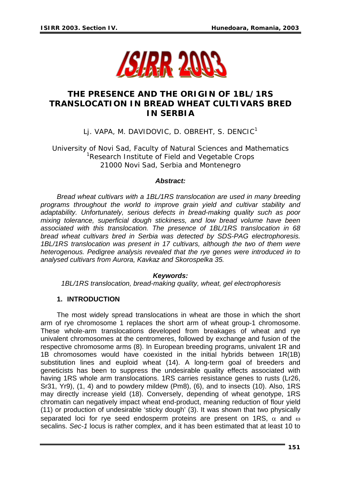

# **THE PRESENCE AND THE ORIGIN OF 1BL/1RS TRANSLOCATION IN BREAD WHEAT CULTIVARS BRED IN SERBIA**

LJ. VAPA, M. DAVIDOVIC, D. OBREHT, S. DENCIC<sup>1</sup>

University of Novi Sad, Faculty of Natural Sciences and Mathematics <sup>1</sup>Research Institute of Field and Vegetable Crops 21000 Novi Sad, Serbia and Montenegro

#### *Abstract:*

*Bread wheat cultivars with a 1BL/1RS translocation are used in many breeding programs throughout the world to improve grain yield and cultivar stability and adaptability. Unfortunately, serious defects in bread-making quality such as poor mixing tolerance, superficial dough stickiness, and low bread volume have been associated with this translocation. The presence of 1BL/1RS translocation in 68 bread wheat cultivars bred in Serbia was detected by SDS-PAG electrophoresis. 1BL/1RS translocation was present in 17 cultivars, although the two of them were heterogenous. Pedigree analysis revealed that the rye genes were introduced in to analysed cultivars from Aurora, Kavkaz and Skorospelka 35.* 

#### *Keywords:*

*1BL/1RS translocation, bread-making quality, wheat, gel electrophoresis* 

## **1. INTRODUCTION**

The most widely spread translocations in wheat are those in which the short arm of rye chromosome 1 replaces the short arm of wheat group-1 chromosome. These whole-arm translocations developed from breakages of wheat and rye univalent chromosomes at the centromeres, followed by exchange and fusion of the respective chromosome arms (8). In European breeding programs, univalent 1R and 1B chromosomes would have coexisted in the initial hybrids between 1R(1B) substitution lines and euploid wheat (14). A long-term goal of breeders and geneticists has been to suppress the undesirable quality effects associated with having 1RS whole arm translocations. 1RS carries resistance genes to rusts (Lr26, Sr31, Yr9), (1, 4) and to powdery mildew (Pm8), (6), and to insects (10). Also, 1RS may directly increase yield (18). Conversely, depending of wheat genotype, 1RS chromatin can negatively impact wheat end-product, meaning reduction of flour yield (11) or production of undesirable 'sticky dough' (3). It was shown that two physically separated loci for rye seed endosperm proteins are present on 1RS,  $\alpha$  and  $\omega$ secalins. *Sec-1* locus is rather complex, and it has been estimated that at least 10 to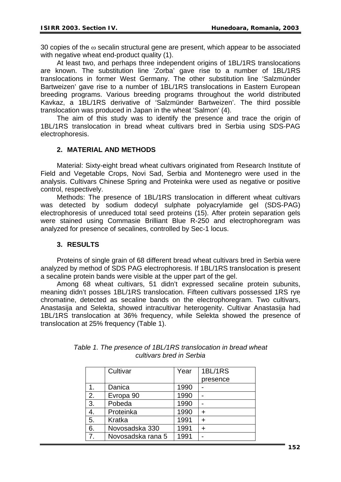30 copies of the  $\omega$  secalin structural gene are present, which appear to be associated with negative wheat end-product quality (1).

At least two, and perhaps three independent origins of 1BL/1RS translocations are known. The substitution line 'Zorba' gave rise to a number of 1BL/1RS translocations in former West Germany. The other substitution line 'Salzmünder Bartweizen' gave rise to a number of 1BL/1RS translocations in Eastern European breeding programs. Various breeding programs throughout the world distributed Kavkaz, a 1BL/1RS derivative of 'Salzmünder Bartweizen'. The third possible translocation was produced in Japan in the wheat 'Salmon' (4).

The aim of this study was to identify the presence and trace the origin of 1BL/1RS translocation in bread wheat cultivars bred in Serbia using SDS-PAG electrophoresis.

## **2. MATERIAL AND METHODS**

Material: Sixty-eight bread wheat cultivars originated from Research Institute of Field and Vegetable Crops, Novi Sad, Serbia and Montenegro were used in the analysis. Cultivars Chinese Spring and Proteinka were used as negative or positive control, respectively.

Methods: The presence of 1BL/1RS translocation in different wheat cultivars was detected by sodium dodecyl sulphate polyacrylamide gel (SDS-PAG) electrophoresis of unreduced total seed proteins (15). After protein separation gels were stained using Commasie Brilliant Blue R-250 and electrophoregram was analyzed for presence of secalines, controlled by Sec-1 locus.

## **3. RESULTS**

Proteins of single grain of 68 different bread wheat cultivars bred in Serbia were analyzed by method of SDS PAG electrophoresis. If 1BL/1RS translocation is present a secaline protein bands were visible at the upper part of the gel.

Among 68 wheat cultivars, 51 didn't expressed secaline protein subunits, meaning didn't posses 1BL/1RS translocation. Fifteen cultivars possessed 1RS rye chromatine, detected as secaline bands on the electrophoregram. Two cultivars, Anastasija and Selekta, showed intracultivar heterogenity. Cultivar Anastasija had 1BL/1RS translocation at 36% frequency, while Selekta showed the presence of translocation at 25% frequency (Table 1).

|                | Cultivar          | Year | 1BL/1RS   |
|----------------|-------------------|------|-----------|
|                |                   |      | presence  |
| 1.             | Danica            | 1990 |           |
| 2.             | Evropa 90         | 1990 |           |
| 3.             | Pobeda            | 1990 |           |
| 4.             | Proteinka         | 1990 | ÷         |
| 5.             | Kratka            | 1991 | ÷         |
| 6.             | Novosadska 330    | 1991 | $\ddot{}$ |
| 7 <sub>1</sub> | Novosadska rana 5 | 1991 |           |

|                          | Table 1. The presence of 1BL/1RS translocation in bread wheat |  |  |
|--------------------------|---------------------------------------------------------------|--|--|
| cultivars bred in Serbia |                                                               |  |  |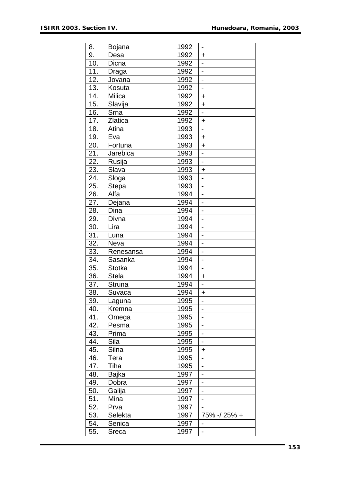| 9.<br>1992<br>Desa<br>$\ddag$<br>10.<br>Dicna<br>1992<br>$\overline{\phantom{0}}$<br>11.<br>1992<br>Draga<br>$\overline{\phantom{a}}$<br>12.<br>1992<br>Jovana<br>13.<br>1992<br>Kosuta<br>$\qquad \qquad -$<br>14.<br>1992<br>Milica<br>$\ddot{}$<br>15.<br>Slavija<br>1992<br>$\ddot{}$<br>16.<br>Srna<br>1992<br>$\blacksquare$<br>17.<br>Zlatica<br>1992<br>$\ddot{}$<br>18.<br>Atina<br>1993<br>$\overline{\phantom{0}}$<br>19.<br>1993<br>Eva<br>$\ddot{}$<br>20.<br>1993<br>Fortuna<br>$\ddot{}$<br>21.<br>1993<br>Jarebica<br>$\overline{\phantom{0}}$<br>22.<br>Rusija<br>1993<br>$\frac{1}{2}$<br>23.<br>Slava<br>1993<br>$\ddot{}$<br>24.<br>1993<br>Sloga<br>$\overline{\phantom{a}}$<br>25.<br><b>Stepa</b><br>1993<br>$\overline{a}$<br>26.<br>Alfa<br>1994<br>$\overline{\phantom{a}}$<br>1994<br>27.<br>Dejana<br>$\overline{a}$<br>Dina<br>28.<br>1994<br>29.<br>1994<br>Divna<br>$\blacksquare$<br>30.<br>1994<br>Lira<br>$\frac{1}{2}$<br>31.<br>1994<br>Luna<br>$\blacksquare$<br>32.<br>1994<br>Neva<br>$\blacksquare$<br>33.<br>1994<br>$\overline{a}$<br>Renesansa<br>34.<br>1994<br>Sasanka<br>$\qquad \qquad \blacksquare$<br>35.<br>1994<br>Stotka<br>$\frac{1}{2}$<br>36.<br><b>Stela</b><br>1994<br>$\ddot{}$ |
|-------------------------------------------------------------------------------------------------------------------------------------------------------------------------------------------------------------------------------------------------------------------------------------------------------------------------------------------------------------------------------------------------------------------------------------------------------------------------------------------------------------------------------------------------------------------------------------------------------------------------------------------------------------------------------------------------------------------------------------------------------------------------------------------------------------------------------------------------------------------------------------------------------------------------------------------------------------------------------------------------------------------------------------------------------------------------------------------------------------------------------------------------------------------------------------------------------------------------------------------|
|                                                                                                                                                                                                                                                                                                                                                                                                                                                                                                                                                                                                                                                                                                                                                                                                                                                                                                                                                                                                                                                                                                                                                                                                                                           |
|                                                                                                                                                                                                                                                                                                                                                                                                                                                                                                                                                                                                                                                                                                                                                                                                                                                                                                                                                                                                                                                                                                                                                                                                                                           |
|                                                                                                                                                                                                                                                                                                                                                                                                                                                                                                                                                                                                                                                                                                                                                                                                                                                                                                                                                                                                                                                                                                                                                                                                                                           |
|                                                                                                                                                                                                                                                                                                                                                                                                                                                                                                                                                                                                                                                                                                                                                                                                                                                                                                                                                                                                                                                                                                                                                                                                                                           |
|                                                                                                                                                                                                                                                                                                                                                                                                                                                                                                                                                                                                                                                                                                                                                                                                                                                                                                                                                                                                                                                                                                                                                                                                                                           |
|                                                                                                                                                                                                                                                                                                                                                                                                                                                                                                                                                                                                                                                                                                                                                                                                                                                                                                                                                                                                                                                                                                                                                                                                                                           |
|                                                                                                                                                                                                                                                                                                                                                                                                                                                                                                                                                                                                                                                                                                                                                                                                                                                                                                                                                                                                                                                                                                                                                                                                                                           |
|                                                                                                                                                                                                                                                                                                                                                                                                                                                                                                                                                                                                                                                                                                                                                                                                                                                                                                                                                                                                                                                                                                                                                                                                                                           |
|                                                                                                                                                                                                                                                                                                                                                                                                                                                                                                                                                                                                                                                                                                                                                                                                                                                                                                                                                                                                                                                                                                                                                                                                                                           |
|                                                                                                                                                                                                                                                                                                                                                                                                                                                                                                                                                                                                                                                                                                                                                                                                                                                                                                                                                                                                                                                                                                                                                                                                                                           |
|                                                                                                                                                                                                                                                                                                                                                                                                                                                                                                                                                                                                                                                                                                                                                                                                                                                                                                                                                                                                                                                                                                                                                                                                                                           |
|                                                                                                                                                                                                                                                                                                                                                                                                                                                                                                                                                                                                                                                                                                                                                                                                                                                                                                                                                                                                                                                                                                                                                                                                                                           |
|                                                                                                                                                                                                                                                                                                                                                                                                                                                                                                                                                                                                                                                                                                                                                                                                                                                                                                                                                                                                                                                                                                                                                                                                                                           |
|                                                                                                                                                                                                                                                                                                                                                                                                                                                                                                                                                                                                                                                                                                                                                                                                                                                                                                                                                                                                                                                                                                                                                                                                                                           |
|                                                                                                                                                                                                                                                                                                                                                                                                                                                                                                                                                                                                                                                                                                                                                                                                                                                                                                                                                                                                                                                                                                                                                                                                                                           |
|                                                                                                                                                                                                                                                                                                                                                                                                                                                                                                                                                                                                                                                                                                                                                                                                                                                                                                                                                                                                                                                                                                                                                                                                                                           |
|                                                                                                                                                                                                                                                                                                                                                                                                                                                                                                                                                                                                                                                                                                                                                                                                                                                                                                                                                                                                                                                                                                                                                                                                                                           |
|                                                                                                                                                                                                                                                                                                                                                                                                                                                                                                                                                                                                                                                                                                                                                                                                                                                                                                                                                                                                                                                                                                                                                                                                                                           |
|                                                                                                                                                                                                                                                                                                                                                                                                                                                                                                                                                                                                                                                                                                                                                                                                                                                                                                                                                                                                                                                                                                                                                                                                                                           |
|                                                                                                                                                                                                                                                                                                                                                                                                                                                                                                                                                                                                                                                                                                                                                                                                                                                                                                                                                                                                                                                                                                                                                                                                                                           |
|                                                                                                                                                                                                                                                                                                                                                                                                                                                                                                                                                                                                                                                                                                                                                                                                                                                                                                                                                                                                                                                                                                                                                                                                                                           |
|                                                                                                                                                                                                                                                                                                                                                                                                                                                                                                                                                                                                                                                                                                                                                                                                                                                                                                                                                                                                                                                                                                                                                                                                                                           |
|                                                                                                                                                                                                                                                                                                                                                                                                                                                                                                                                                                                                                                                                                                                                                                                                                                                                                                                                                                                                                                                                                                                                                                                                                                           |
|                                                                                                                                                                                                                                                                                                                                                                                                                                                                                                                                                                                                                                                                                                                                                                                                                                                                                                                                                                                                                                                                                                                                                                                                                                           |
|                                                                                                                                                                                                                                                                                                                                                                                                                                                                                                                                                                                                                                                                                                                                                                                                                                                                                                                                                                                                                                                                                                                                                                                                                                           |
|                                                                                                                                                                                                                                                                                                                                                                                                                                                                                                                                                                                                                                                                                                                                                                                                                                                                                                                                                                                                                                                                                                                                                                                                                                           |
|                                                                                                                                                                                                                                                                                                                                                                                                                                                                                                                                                                                                                                                                                                                                                                                                                                                                                                                                                                                                                                                                                                                                                                                                                                           |
|                                                                                                                                                                                                                                                                                                                                                                                                                                                                                                                                                                                                                                                                                                                                                                                                                                                                                                                                                                                                                                                                                                                                                                                                                                           |
|                                                                                                                                                                                                                                                                                                                                                                                                                                                                                                                                                                                                                                                                                                                                                                                                                                                                                                                                                                                                                                                                                                                                                                                                                                           |
| 37.<br>1994<br>Struna<br>$\blacksquare$                                                                                                                                                                                                                                                                                                                                                                                                                                                                                                                                                                                                                                                                                                                                                                                                                                                                                                                                                                                                                                                                                                                                                                                                   |
| 38.<br>1994<br>Suvaca<br>$\ddot{}$                                                                                                                                                                                                                                                                                                                                                                                                                                                                                                                                                                                                                                                                                                                                                                                                                                                                                                                                                                                                                                                                                                                                                                                                        |
| 39.<br>Laguna<br>1995<br>$\overline{\phantom{a}}$                                                                                                                                                                                                                                                                                                                                                                                                                                                                                                                                                                                                                                                                                                                                                                                                                                                                                                                                                                                                                                                                                                                                                                                         |
| 40.<br>1995<br>Kremna                                                                                                                                                                                                                                                                                                                                                                                                                                                                                                                                                                                                                                                                                                                                                                                                                                                                                                                                                                                                                                                                                                                                                                                                                     |
| 41.<br>1995<br>Omega                                                                                                                                                                                                                                                                                                                                                                                                                                                                                                                                                                                                                                                                                                                                                                                                                                                                                                                                                                                                                                                                                                                                                                                                                      |
| 42.<br>1995<br>Pesma                                                                                                                                                                                                                                                                                                                                                                                                                                                                                                                                                                                                                                                                                                                                                                                                                                                                                                                                                                                                                                                                                                                                                                                                                      |
| 1995<br>43.<br>Prima                                                                                                                                                                                                                                                                                                                                                                                                                                                                                                                                                                                                                                                                                                                                                                                                                                                                                                                                                                                                                                                                                                                                                                                                                      |
| 44.<br>Sila<br>1995<br>$\qquad \qquad \blacksquare$                                                                                                                                                                                                                                                                                                                                                                                                                                                                                                                                                                                                                                                                                                                                                                                                                                                                                                                                                                                                                                                                                                                                                                                       |
| 45.<br>Silna<br>1995<br>+                                                                                                                                                                                                                                                                                                                                                                                                                                                                                                                                                                                                                                                                                                                                                                                                                                                                                                                                                                                                                                                                                                                                                                                                                 |
| 46.<br>1995<br>Tera                                                                                                                                                                                                                                                                                                                                                                                                                                                                                                                                                                                                                                                                                                                                                                                                                                                                                                                                                                                                                                                                                                                                                                                                                       |
| Tiha<br>47.<br>1995<br>$\overline{\phantom{0}}$                                                                                                                                                                                                                                                                                                                                                                                                                                                                                                                                                                                                                                                                                                                                                                                                                                                                                                                                                                                                                                                                                                                                                                                           |
| 48.<br>Bajka<br>1997                                                                                                                                                                                                                                                                                                                                                                                                                                                                                                                                                                                                                                                                                                                                                                                                                                                                                                                                                                                                                                                                                                                                                                                                                      |
| 49.<br>Dobra<br>1997<br>$\overline{\phantom{0}}$                                                                                                                                                                                                                                                                                                                                                                                                                                                                                                                                                                                                                                                                                                                                                                                                                                                                                                                                                                                                                                                                                                                                                                                          |
| 50.<br>Galija<br>1997<br>$\overline{\phantom{0}}$                                                                                                                                                                                                                                                                                                                                                                                                                                                                                                                                                                                                                                                                                                                                                                                                                                                                                                                                                                                                                                                                                                                                                                                         |
| 51.<br>Mina<br>1997                                                                                                                                                                                                                                                                                                                                                                                                                                                                                                                                                                                                                                                                                                                                                                                                                                                                                                                                                                                                                                                                                                                                                                                                                       |
| 52.<br>1997<br>Prva                                                                                                                                                                                                                                                                                                                                                                                                                                                                                                                                                                                                                                                                                                                                                                                                                                                                                                                                                                                                                                                                                                                                                                                                                       |
| 53.<br>Selekta<br>1997<br>75% -/ 25% +                                                                                                                                                                                                                                                                                                                                                                                                                                                                                                                                                                                                                                                                                                                                                                                                                                                                                                                                                                                                                                                                                                                                                                                                    |
| 54.<br>Senica<br>1997                                                                                                                                                                                                                                                                                                                                                                                                                                                                                                                                                                                                                                                                                                                                                                                                                                                                                                                                                                                                                                                                                                                                                                                                                     |
| 55.<br>1997<br>Sreca<br>$\overline{\phantom{0}}$                                                                                                                                                                                                                                                                                                                                                                                                                                                                                                                                                                                                                                                                                                                                                                                                                                                                                                                                                                                                                                                                                                                                                                                          |

l,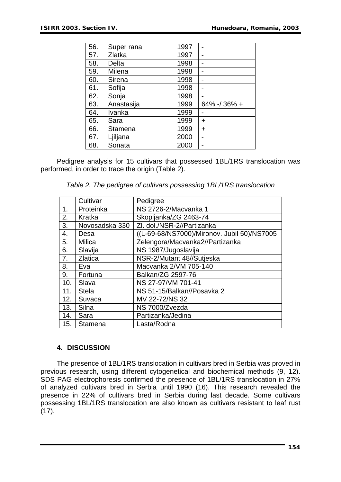| 56. | Super rana | 1997 |                 |
|-----|------------|------|-----------------|
| 57. | Zlatka     | 1997 |                 |
| 58. | Delta      | 1998 |                 |
| 59. | Milena     | 1998 |                 |
| 60. | Sirena     | 1998 |                 |
| 61. | Sofija     | 1998 |                 |
| 62. | Sonja      | 1998 |                 |
| 63. | Anastasija | 1999 | $64\% - 36\% +$ |
| 64. | Ivanka     | 1999 |                 |
| 65. | Sara       | 1999 | +               |
| 66. | Stamena    | 1999 | $\ddot{}$       |
| 67. | Ljiljana   | 2000 |                 |
| 68. | Sonata     | 2000 |                 |

Pedigree analysis for 15 cultivars that possessed 1BL/1RS translocation was performed, in order to trace the origin (Table 2).

|     | Cultivar       | Pedigree                                    |
|-----|----------------|---------------------------------------------|
| 1.  | Proteinka      | NS 2726-2/Macvanka 1                        |
| 2.  | Kratka         | Skopljanka/ZG 2463-74                       |
| 3.  | Novosadska 330 | Zl. dol./NSR-2//Partizanka                  |
| 4.  | Desa           | ((L-69-68/NS7000)/Mironov. Jubil 50)/NS7005 |
| 5.  | Milica         | Zelengora/Macvanka2//Partizanka             |
| 6.  | Slavija        | NS 1987/Jugoslavija                         |
| 7.  | <b>Zlatica</b> | NSR-2/Mutant 48//Sutjeska                   |
| 8.  | Eva            | Macvanka 2/VM 705-140                       |
| 9.  | Fortuna        | Balkan/ZG 2597-76                           |
| 10. | Slava          | NS 27-97/VM 701-41                          |
| 11. | Stela          | NS 51-15/Balkan//Posavka 2                  |
| 12. | Suvaca         | MV 22-72/NS 32                              |
| 13. | Silna          | NS 7000/Zvezda                              |
| 14. | Sara           | Partizanka/Jedina                           |
| 15. | Stamena        | Lasta/Rodna                                 |

## **4. DISCUSSION**

The presence of 1BL/1RS translocation in cultivars bred in Serbia was proved in previous research, using different cytogenetical and biochemical methods (9, 12). SDS PAG electrophoresis confirmed the presence of 1BL/1RS translocation in 27% of analyzed cultivars bred in Serbia until 1990 (16). This research revealed the presence in 22% of cultivars bred in Serbia during last decade. Some cultivars possessing 1BL/1RS translocation are also known as cultivars resistant to leaf rust  $(17)$ .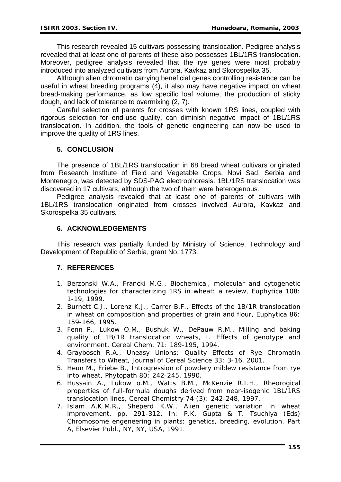This research revealed 15 cultivars possessing translocation. Pedigree analysis revealed that at least one of parents of these also possesses 1BL/1RS translocation. Moreover, pedigree analysis revealed that the rye genes were most probably introduced into analyzed cultivars from Aurora, Kavkaz and Skorospelka 35.

Although alien chromatin carrying beneficial genes controlling resistance can be useful in wheat breeding programs (4), it also may have negative impact on wheat bread-making performance, as low specific loaf volume, the production of sticky dough, and lack of tolerance to overmixing (2, 7).

Careful selection of parents for crosses with known 1RS lines, coupled with rigorous selection for end-use quality, can diminish negative impact of 1BL/1RS translocation. In addition, the tools of genetic engineering can now be used to improve the quality of 1RS lines.

## **5. CONCLUSION**

The presence of 1BL/1RS translocation in 68 bread wheat cultivars originated from Research Institute of Field and Vegetable Crops, Novi Sad, Serbia and Montenegro, was detected by SDS-PAG electrophoresis. 1BL/1RS translocation was discovered in 17 cultivars, although the two of them were heterogenous*.*

Pedigree analysis revealed that at least one of parents of cultivars with 1BL/1RS translocation originated from crosses involved Aurora, Kavkaz and Skorospelka 35 cultivars*.*

## **6. ACKNOWLEDGEMENTS**

This research was partially funded by Ministry of Science, Technology and Development of Republic of Serbia, grant No. 1773.

# **7. REFERENCES**

- 1. Berzonski W.A., Francki M.G., Biochemical, molecular and cytogenetic technologies for characterizing 1RS in wheat: a review, Euphytica 108: 1-19, 1999.
- 2. Burnett C.J., Lorenz K.J., Carrer B.F., Effects of the 1B/1R translocation in wheat on composition and properties of grain and flour, Euphytica 86: 159-166, 1995.
- 3. Fenn P., Lukow O.M., Bushuk W., DePauw R.M., Milling and baking quality of 1B/1R translocation wheats, I. Effects of genotype and environment, Cereal Chem. 71: 189-195, 1994.
- 4. Graybosch R.A., Uneasy Unions: Quality Effects of Rye Chromatin Transfers to Wheat, Journal of Cereal Science 33: 3-16, 2001.
- 5. Heun M., Friebe B., Introgression of powdery mildew resistance from rye into wheat, Phytopath 80: 242-245, 1990.
- 6. Hussain A., Lukow o.M., Watts B.M., McKenzie R.I.H., Rheorogical properties of full-formula doughs derived from near-isogenic 1BL/1RS translocation lines, Cereal Chemistry 74 (3): 242-248, 1997.
- 7. Islam A.K.M.R., Sheperd K.W., Alien genetic variation in wheat improvement, pp. 291-312, In: P.K. Gupta & T. Tsuchiya (Eds) Chromosome engeneering in plants: genetics, breeding, evolution, Part A, Elsevier Publ., NY, NY, USA, 1991.